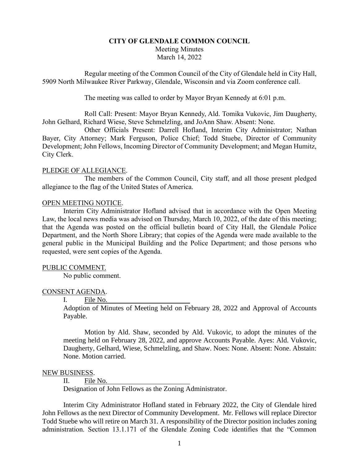# **CITY OF GLENDALE COMMON COUNCIL** Meeting Minutes March 14, 2022

Regular meeting of the Common Council of the City of Glendale held in City Hall, 5909 North Milwaukee River Parkway, Glendale, Wisconsin and via Zoom conference call.

The meeting was called to order by Mayor Bryan Kennedy at 6:01 p.m.

Roll Call: Present: Mayor Bryan Kennedy, Ald. Tomika Vukovic, Jim Daugherty, John Gelhard, Richard Wiese, Steve Schmelzling, and JoAnn Shaw. Absent: None.

Other Officials Present: Darrell Hofland, Interim City Administrator; Nathan Bayer, City Attorney; Mark Ferguson, Police Chief; Todd Stuebe, Director of Community Development; John Fellows, Incoming Director of Community Development; and Megan Humitz, City Clerk.

## PLEDGE OF ALLEGIANCE.

The members of the Common Council, City staff, and all those present pledged allegiance to the flag of the United States of America.

## OPEN MEETING NOTICE.

Interim City Administrator Hofland advised that in accordance with the Open Meeting Law, the local news media was advised on Thursday, March 10, 2022, of the date of this meeting; that the Agenda was posted on the official bulletin board of City Hall, the Glendale Police Department, and the North Shore Library; that copies of the Agenda were made available to the general public in the Municipal Building and the Police Department; and those persons who requested, were sent copies of the Agenda.

## PUBLIC COMMENT.

No public comment.

## CONSENT AGENDA.

### I. File No.

Adoption of Minutes of Meeting held on February 28, 2022 and Approval of Accounts Payable.

Motion by Ald. Shaw, seconded by Ald. Vukovic, to adopt the minutes of the meeting held on February 28, 2022, and approve Accounts Payable. Ayes: Ald. Vukovic, Daugherty, Gelhard, Wiese, Schmelzling, and Shaw. Noes: None. Absent: None. Abstain: None. Motion carried.

#### NEW BUSINESS.

II. File No.

Designation of John Fellows as the Zoning Administrator.

Interim City Administrator Hofland stated in February 2022, the City of Glendale hired John Fellows as the next Director of Community Development. Mr. Fellows will replace Director Todd Stuebe who will retire on March 31. A responsibility of the Director position includes zoning administration. Section 13.1.171 of the Glendale Zoning Code identifies that the "Common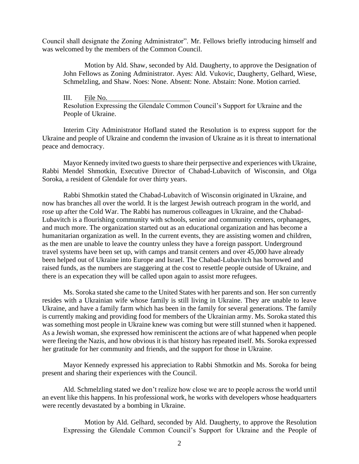Council shall designate the Zoning Administrator". Mr. Fellows briefly introducing himself and was welcomed by the members of the Common Council.

Motion by Ald. Shaw, seconded by Ald. Daugherty, to approve the Designation of John Fellows as Zoning Administrator. Ayes: Ald. Vukovic, Daugherty, Gelhard, Wiese, Schmelzling, and Shaw. Noes: None. Absent: None. Abstain: None. Motion carried.

III. File No. Resolution Expressing the Glendale Common Council's Support for Ukraine and the People of Ukraine.

Interim City Administrator Hofland stated the Resolution is to express support for the Ukraine and people of Ukraine and condemn the invasion of Ukraine as it is threat to international peace and democracy.

Mayor Kennedy invited two guests to share their perpsective and experiences with Ukraine, Rabbi Mendel Shmotkin, Executive Director of Chabad-Lubavitch of Wisconsin, and Olga Soroka, a resident of Glendale for over thirty years.

Rabbi Shmotkin stated the Chabad-Lubavitch of Wisconsin originated in Ukraine, and now has branches all over the world. It is the largest Jewish outreach program in the world, and rose up after the Cold War. The Rabbi has numerous colleagues in Ukraine, and the Chabad-Lubavitch is a flourishing community with schools, senior and community centers, orphanages, and much more. The organization started out as an educational organization and has become a humanitarian organization as well. In the current events, they are assisting women and children, as the men are unable to leave the country unless they have a foreign passport. Underground travel systems have been set up, with camps and transit centers and over 45,000 have already been helped out of Ukraine into Europe and Israel. The Chabad-Lubavitch has borrowed and raised funds, as the numbers are staggering at the cost to resettle people outside of Ukraine, and there is an expecation they will be called upon again to assist more refugees.

Ms. Soroka stated she came to the United States with her parents and son. Her son currently resides with a Ukrainian wife whose family is still living in Ukraine. They are unable to leave Ukraine, and have a family farm which has been in the family for several generations. The family is currently making and providing food for members of the Ukrainian army. Ms. Soroka stated this was something most people in Ukraine knew was coming but were still stunned when it happened. As a Jewish woman, she expressed how reminiscent the actions are of what happened when people were fleeing the Nazis, and how obvious it is that history has repeated itself. Ms. Soroka expressed her gratitude for her community and friends, and the support for those in Ukraine.

Mayor Kennedy expressed his appreciation to Rabbi Shmotkin and Ms. Soroka for being present and sharing their experiences with the Council.

Ald. Schmelzling stated we don't realize how close we are to people across the world until an event like this happens. In his professional work, he works with developers whose headquarters were recently devastated by a bombing in Ukraine.

Motion by Ald. Gelhard, seconded by Ald. Daugherty, to approve the Resolution Expressing the Glendale Common Council's Support for Ukraine and the People of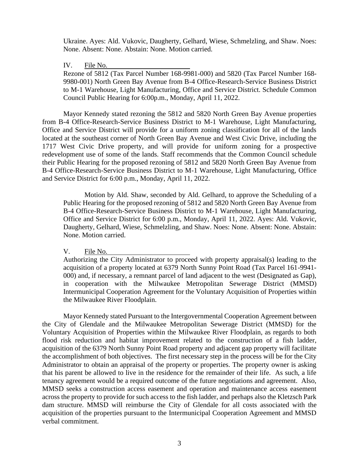Ukraine. Ayes: Ald. Vukovic, Daugherty, Gelhard, Wiese, Schmelzling, and Shaw. Noes: None. Absent: None. Abstain: None. Motion carried.

### IV. File No.

Rezone of 5812 (Tax Parcel Number 168-9981-000) and 5820 (Tax Parcel Number 168- 9980-001) North Green Bay Avenue from B-4 Office-Research-Service Business District to M-1 Warehouse, Light Manufacturing, Office and Service District. Schedule Common Council Public Hearing for 6:00p.m., Monday, April 11, 2022.

Mayor Kennedy stated rezoning the 5812 and 5820 North Green Bay Avenue properties from B-4 Office-Research-Service Business District to M-1 Warehouse, Light Manufacturing, Office and Service District will provide for a uniform zoning classification for all of the lands located at the southeast corner of North Green Bay Avenue and West Civic Drive, including the 1717 West Civic Drive property, and will provide for uniform zoning for a prospective redevelopment use of some of the lands. Staff recommends that the Common Council schedule their Public Hearing for the proposed rezoning of 5812 and 5820 North Green Bay Avenue from B-4 Office-Research-Service Business District to M-1 Warehouse, Light Manufacturing, Office and Service District for 6:00 p.m., Monday, April 11, 2022.

Motion by Ald. Shaw, seconded by Ald. Gelhard, to approve the Scheduling of a Public Hearing for the proposed rezoning of 5812 and 5820 North Green Bay Avenue from B-4 Office-Research-Service Business District to M-1 Warehouse, Light Manufacturing, Office and Service District for 6:00 p.m., Monday, April 11, 2022. Ayes: Ald. Vukovic, Daugherty, Gelhard, Wiese, Schmelzling, and Shaw. Noes: None. Absent: None. Abstain: None. Motion carried.

V. File No.

Authorizing the City Administrator to proceed with property appraisal(s) leading to the acquisition of a property located at 6379 North Sunny Point Road (Tax Parcel 161-9941- 000) and, if necessary, a remnant parcel of land adjacent to the west (Designated as Gap), in cooperation with the Milwaukee Metropolitan Sewerage District (MMSD) Intermunicipal Cooperation Agreement for the Voluntary Acquisition of Properties within the Milwaukee River Floodplain.

Mayor Kennedy stated Pursuant to the Intergovernmental Cooperation Agreement between the City of Glendale and the Milwaukee Metropolitan Sewerage District (MMSD) for the Voluntary Acquisition of Properties within the Milwaukee River Floodplain, as regards to both flood risk reduction and habitat improvement related to the construction of a fish ladder, acquisition of the 6379 North Sunny Point Road property and adjacent gap property will facilitate the accomplishment of both objectives. The first necessary step in the process will be for the City Administrator to obtain an appraisal of the property or properties. The property owner is asking that his parent be allowed to live in the residence for the remainder of their life. As such, a life tenancy agreement would be a required outcome of the future negotiations and agreement. Also, MMSD seeks a construction access easement and operation and maintenance access easement across the property to provide for such access to the fish ladder, and perhaps also the Kletzsch Park dam structure. MMSD will reimburse the City of Glendale for all costs associated with the acquisition of the properties pursuant to the Intermunicipal Cooperation Agreement and MMSD verbal commitment.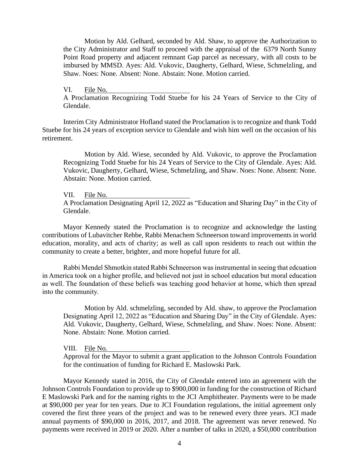Motion by Ald. Gelhard, seconded by Ald. Shaw, to approve the Authorization to the City Administrator and Staff to proceed with the appraisal of the 6379 North Sunny Point Road property and adjacent remnant Gap parcel as necessary, with all costs to be imbursed by MMSD. Ayes: Ald. Vukovic, Daugherty, Gelhard, Wiese, Schmelzling, and Shaw. Noes: None. Absent: None. Abstain: None. Motion carried.

VI. File No. A Proclamation Recognizing Todd Stuebe for his 24 Years of Service to the City of Glendale.

Interim City Administrator Hofland stated the Proclamation is to recognize and thank Todd Stuebe for his 24 years of exception service to Glendale and wish him well on the occasion of his retirement.

Motion by Ald. Wiese, seconded by Ald. Vukovic, to approve the Proclamation Recognizing Todd Stuebe for his 24 Years of Service to the City of Glendale. Ayes: Ald. Vukovic, Daugherty, Gelhard, Wiese, Schmelzling, and Shaw. Noes: None. Absent: None. Abstain: None. Motion carried.

VII. File No.

A Proclamation Designating April 12, 2022 as "Education and Sharing Day" in the City of Glendale.

Mayor Kennedy stated the Proclamation is to recognize and acknowledge the lasting contributions of Lubavitcher Rebbe, Rabbi Menachem Schneerson toward improvements in world education, morality, and acts of charity; as well as call upon residents to reach out within the community to create a better, brighter, and more hopeful future for all.

Rabbi Mendel Shmotkin stated Rabbi Schneerson was instrumental in seeing that edcuation in America took on a higher profile, and believed not just in school education but moral education as well. The foundation of these beliefs was teaching good behavior at home, which then spread into the community.

Motion by Ald. schmelzling, seconded by Ald. shaw, to approve the Proclamation Designating April 12, 2022 as "Education and Sharing Day" in the City of Glendale. Ayes: Ald. Vukovic, Daugherty, Gelhard, Wiese, Schmelzling, and Shaw. Noes: None. Absent: None. Abstain: None. Motion carried.

VIII. File No.

Approval for the Mayor to submit a grant application to the Johnson Controls Foundation for the continuation of funding for Richard E. Maslowski Park.

Mayor Kennedy stated in 2016, the City of Glendale entered into an agreement with the Johnson Controls Foundation to provide up to \$900,000 in funding for the construction of Richard E Maslowski Park and for the naming rights to the JCI Amphitheater. Payments were to be made at \$90,000 per year for ten years. Due to JCI Foundation regulations, the initial agreement only covered the first three years of the project and was to be renewed every three years. JCI made annual payments of \$90,000 in 2016, 2017, and 2018. The agreement was never renewed. No payments were received in 2019 or 2020. After a number of talks in 2020, a \$50,000 contribution